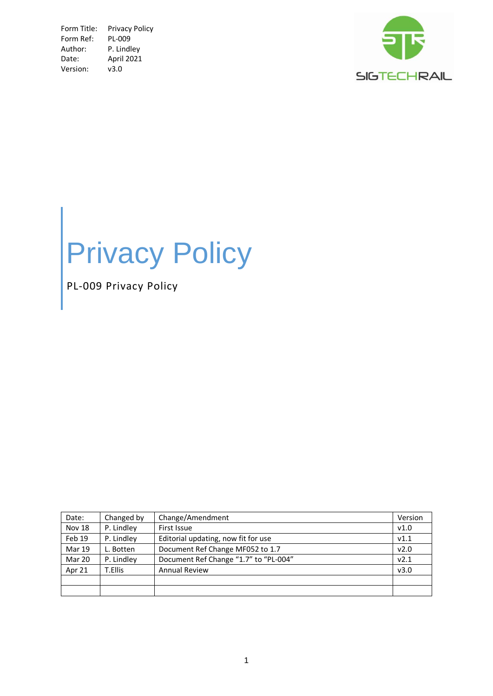Form Title: Privacy Policy<br>Form Ref: PL-009 Form Ref: Author: P. Lindley<br>Date: April 2021 April 2021 Version: v3.0



# Privacy Policy

PL-009 Privacy Policy

| Date:         | Changed by | Change/Amendment                      | Version |
|---------------|------------|---------------------------------------|---------|
| <b>Nov 18</b> | P. Lindley | First Issue                           | V1.0    |
| Feb 19        | P. Lindley | Editorial updating, now fit for use   | V1.1    |
| <b>Mar 19</b> | L. Botten  | Document Ref Change MF052 to 1.7      | v2.0    |
| Mar 20        | P. Lindley | Document Ref Change "1.7" to "PL-004" | v2.1    |
| Apr 21        | T.Ellis    | <b>Annual Review</b>                  | v3.0    |
|               |            |                                       |         |
|               |            |                                       |         |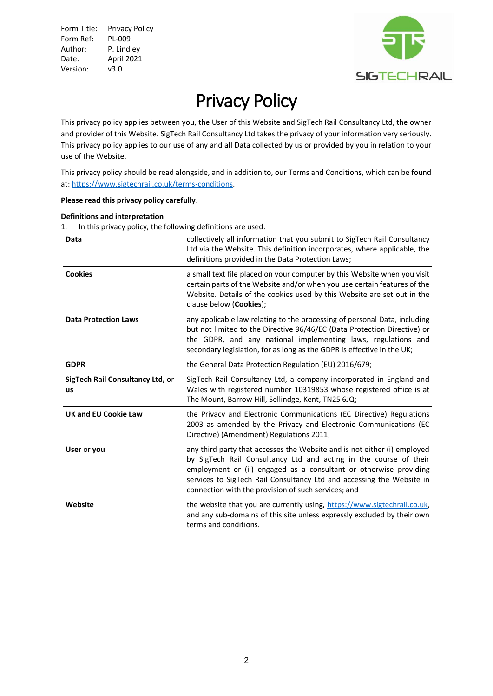Form Title: Privacy Policy Form Ref: PL-009 Author: P. Lindley Date: April 2021 Version: v3.0



# **Privacy Policy**

This privacy policy applies between you, the User of this Website and SigTech Rail Consultancy Ltd, the owner and provider of this Website. SigTech Rail Consultancy Ltd takes the privacy of your information very seriously. This privacy policy applies to our use of any and all Data collected by us or provided by you in relation to your use of the Website.

This privacy policy should be read alongside, and in addition to, our Terms and Conditions, which can be found at: [https://www.sigtechrail.co.uk/terms-conditions.](https://www.sigtechrail.co.uk/terms-conditions)

### **Please read this privacy policy carefully**.

#### **Definitions and interpretation**

1. In this privacy policy, the following definitions are used:

| Data                                   | collectively all information that you submit to SigTech Rail Consultancy<br>Ltd via the Website. This definition incorporates, where applicable, the<br>definitions provided in the Data Protection Laws;                                                                                                                                          |
|----------------------------------------|----------------------------------------------------------------------------------------------------------------------------------------------------------------------------------------------------------------------------------------------------------------------------------------------------------------------------------------------------|
| <b>Cookies</b>                         | a small text file placed on your computer by this Website when you visit<br>certain parts of the Website and/or when you use certain features of the<br>Website. Details of the cookies used by this Website are set out in the<br>clause below (Cookies);                                                                                         |
| <b>Data Protection Laws</b>            | any applicable law relating to the processing of personal Data, including<br>but not limited to the Directive 96/46/EC (Data Protection Directive) or<br>the GDPR, and any national implementing laws, regulations and<br>secondary legislation, for as long as the GDPR is effective in the UK;                                                   |
| <b>GDPR</b>                            | the General Data Protection Regulation (EU) 2016/679;                                                                                                                                                                                                                                                                                              |
| SigTech Rail Consultancy Ltd, or<br>us | SigTech Rail Consultancy Ltd, a company incorporated in England and<br>Wales with registered number 10319853 whose registered office is at<br>The Mount, Barrow Hill, Sellindge, Kent, TN25 6JQ;                                                                                                                                                   |
| <b>UK and EU Cookie Law</b>            | the Privacy and Electronic Communications (EC Directive) Regulations<br>2003 as amended by the Privacy and Electronic Communications (EC<br>Directive) (Amendment) Regulations 2011;                                                                                                                                                               |
| User or you                            | any third party that accesses the Website and is not either (i) employed<br>by SigTech Rail Consultancy Ltd and acting in the course of their<br>employment or (ii) engaged as a consultant or otherwise providing<br>services to SigTech Rail Consultancy Ltd and accessing the Website in<br>connection with the provision of such services; and |
| Website                                | the website that you are currently using, https://www.sigtechrail.co.uk,<br>and any sub-domains of this site unless expressly excluded by their own<br>terms and conditions.                                                                                                                                                                       |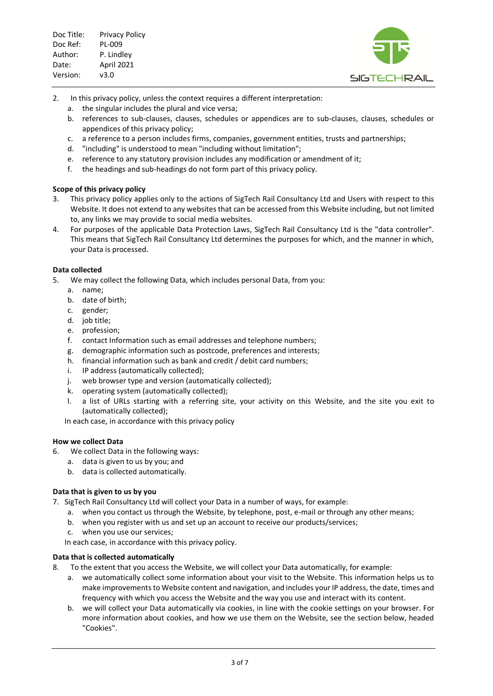

- 2. In this privacy policy, unless the context requires a different interpretation:
	- a. the singular includes the plural and vice versa;
	- b. references to sub-clauses, clauses, schedules or appendices are to sub-clauses, clauses, schedules or appendices of this privacy policy;
	- c. a reference to a person includes firms, companies, government entities, trusts and partnerships;
	- d. "including" is understood to mean "including without limitation";
	- e. reference to any statutory provision includes any modification or amendment of it;
	- f. the headings and sub-headings do not form part of this privacy policy.

#### **Scope of this privacy policy**

- 3. This privacy policy applies only to the actions of SigTech Rail Consultancy Ltd and Users with respect to this Website. It does not extend to any websites that can be accessed from this Website including, but not limited to, any links we may provide to social media websites.
- 4. For purposes of the applicable Data Protection Laws, SigTech Rail Consultancy Ltd is the "data controller". This means that SigTech Rail Consultancy Ltd determines the purposes for which, and the manner in which, your Data is processed.

#### **Data collected**

- 5. We may collect the following Data, which includes personal Data, from you:
	- a. name;
	- b. date of birth;
	- c. gender;
	- d. job title;
	- e. profession;
	- f. contact Information such as email addresses and telephone numbers;
	- g. demographic information such as postcode, preferences and interests;
	- h. financial information such as bank and credit / debit card numbers;
	- i. IP address (automatically collected);
	- j. web browser type and version (automatically collected);
	- k. operating system (automatically collected);
	- l. a list of URLs starting with a referring site, your activity on this Website, and the site you exit to (automatically collected);

In each case, in accordance with this privacy policy

#### **How we collect Data**

- 6. We collect Data in the following ways:
	- a. data is given to us by you; and
	- b. data is collected automatically.

## **Data that is given to us by you**

- 7. SigTech Rail Consultancy Ltd will collect your Data in a number of ways, for example:
	- a. when you contact us through the Website, by telephone, post, e-mail or through any other means;
	- b. when you register with us and set up an account to receive our products/services;
	- c. when you use our services;

In each case, in accordance with this privacy policy.

#### **Data that is collected automatically**

- 8. To the extent that you access the Website, we will collect your Data automatically, for example:
	- a. we automatically collect some information about your visit to the Website. This information helps us to make improvements to Website content and navigation, and includes your IP address, the date, times and frequency with which you access the Website and the way you use and interact with its content.
	- b. we will collect your Data automatically via cookies, in line with the cookie settings on your browser. For more information about cookies, and how we use them on the Website, see the section below, headed "Cookies".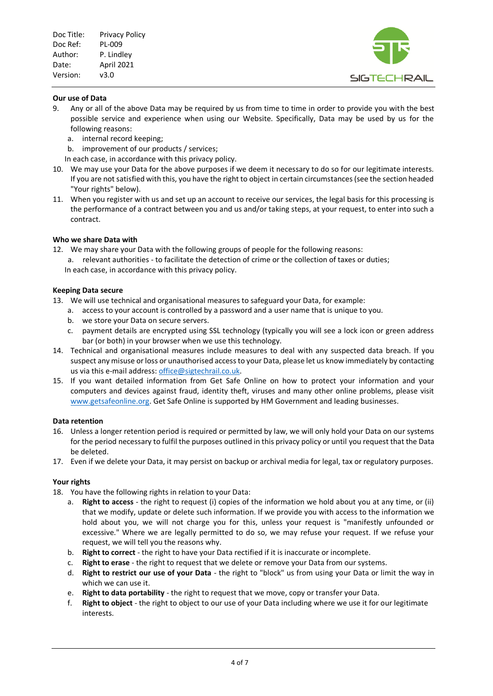

#### **Our use of Data**

- 9. Any or all of the above Data may be required by us from time to time in order to provide you with the best possible service and experience when using our Website. Specifically, Data may be used by us for the following reasons:
	- a. internal record keeping;
	- b. improvement of our products / services;
	- In each case, in accordance with this privacy policy.
- 10. We may use your Data for the above purposes if we deem it necessary to do so for our legitimate interests. If you are not satisfied with this, you have the right to object in certain circumstances (see the section headed "Your rights" below).
- 11. When you register with us and set up an account to receive our services, the legal basis for this processing is the performance of a contract between you and us and/or taking steps, at your request, to enter into such a contract.

#### **Who we share Data with**

- 12. We may share your Data with the following groups of people for the following reasons:
	- a. relevant authorities to facilitate the detection of crime or the collection of taxes or duties; In each case, in accordance with this privacy policy.

#### **Keeping Data secure**

- 13. We will use technical and organisational measures to safeguard your Data, for example:
	- a. access to your account is controlled by a password and a user name that is unique to you.
	- b. we store your Data on secure servers.
	- c. payment details are encrypted using SSL technology (typically you will see a lock icon or green address bar (or both) in your browser when we use this technology.
- 14. Technical and organisational measures include measures to deal with any suspected data breach. If you suspect any misuse or loss or unauthorised access to your Data, please let us know immediately by contacting us via this e-mail address[: office@sigtechrail.co.uk.](mailto:office@sigtechrail.co.uk)
- 15. If you want detailed information from Get Safe Online on how to protect your information and your computers and devices against fraud, identity theft, viruses and many other online problems, please visit [www.getsafeonline.org.](http://www.getsafeonline.org/) Get Safe Online is supported by HM Government and leading businesses.

#### **Data retention**

- 16. Unless a longer retention period is required or permitted by law, we will only hold your Data on our systems for the period necessary to fulfil the purposes outlined in this privacy policy or until you request that the Data be deleted.
- 17. Even if we delete your Data, it may persist on backup or archival media for legal, tax or regulatory purposes.

#### **Your rights**

18. You have the following rights in relation to your Data:

- a. **Right to access** the right to request (i) copies of the information we hold about you at any time, or (ii) that we modify, update or delete such information. If we provide you with access to the information we hold about you, we will not charge you for this, unless your request is "manifestly unfounded or excessive." Where we are legally permitted to do so, we may refuse your request. If we refuse your request, we will tell you the reasons why.
- b. **Right to correct** the right to have your Data rectified if it is inaccurate or incomplete.
- c. **Right to erase** the right to request that we delete or remove your Data from our systems.
- d. **Right to restrict our use of your Data** the right to "block" us from using your Data or limit the way in which we can use it.
- e. **Right to data portability** the right to request that we move, copy or transfer your Data.
- f. **Right to object** the right to object to our use of your Data including where we use it for our legitimate interests.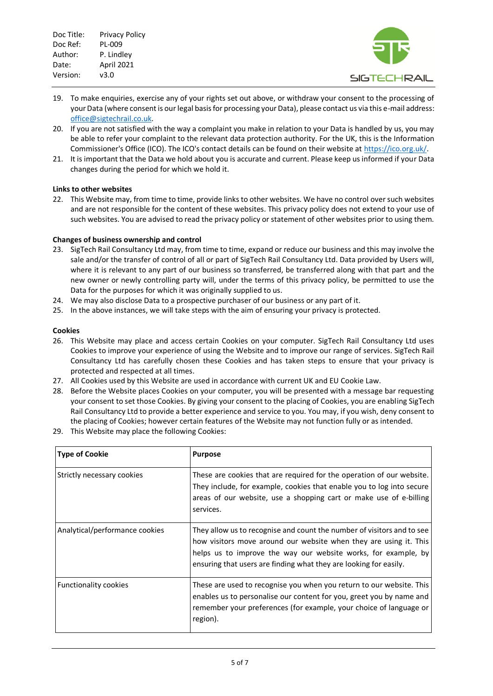

- 19. To make enquiries, exercise any of your rights set out above, or withdraw your consent to the processing of your Data (where consent is our legal basis for processing your Data), please contact us via this e-mail address: [office@sigtechrail.co.uk.](mailto:office@sigtechrail.co.uk)
- 20. If you are not satisfied with the way a complaint you make in relation to your Data is handled by us, you may be able to refer your complaint to the relevant data protection authority. For the UK, this is the Information Commissioner's Office (ICO). The ICO's contact details can be found on their website a[t https://ico.org.uk/.](https://ico.org.uk/)
- 21. It is important that the Data we hold about you is accurate and current. Please keep us informed if your Data changes during the period for which we hold it.

#### **Links to other websites**

22. This Website may, from time to time, provide links to other websites. We have no control over such websites and are not responsible for the content of these websites. This privacy policy does not extend to your use of such websites. You are advised to read the privacy policy or statement of other websites prior to using them.

#### **Changes of business ownership and control**

- 23. SigTech Rail Consultancy Ltd may, from time to time, expand or reduce our business and this may involve the sale and/or the transfer of control of all or part of SigTech Rail Consultancy Ltd. Data provided by Users will, where it is relevant to any part of our business so transferred, be transferred along with that part and the new owner or newly controlling party will, under the terms of this privacy policy, be permitted to use the Data for the purposes for which it was originally supplied to us.
- 24. We may also disclose Data to a prospective purchaser of our business or any part of it.
- 25. In the above instances, we will take steps with the aim of ensuring your privacy is protected.

#### **Cookies**

- 26. This Website may place and access certain Cookies on your computer. SigTech Rail Consultancy Ltd uses Cookies to improve your experience of using the Website and to improve our range of services. SigTech Rail Consultancy Ltd has carefully chosen these Cookies and has taken steps to ensure that your privacy is protected and respected at all times.
- 27. All Cookies used by this Website are used in accordance with current UK and EU Cookie Law.
- 28. Before the Website places Cookies on your computer, you will be presented with a message bar requesting your consent to set those Cookies. By giving your consent to the placing of Cookies, you are enabling SigTech Rail Consultancy Ltd to provide a better experience and service to you. You may, if you wish, deny consent to the placing of Cookies; however certain features of the Website may not function fully or as intended.
- 29. This Website may place the following Cookies:

| <b>Type of Cookie</b>          | <b>Purpose</b>                                                                                                                                                                                                                                                                     |
|--------------------------------|------------------------------------------------------------------------------------------------------------------------------------------------------------------------------------------------------------------------------------------------------------------------------------|
| Strictly necessary cookies     | These are cookies that are required for the operation of our website.<br>They include, for example, cookies that enable you to log into secure<br>areas of our website, use a shopping cart or make use of e-billing<br>services.                                                  |
| Analytical/performance cookies | They allow us to recognise and count the number of visitors and to see<br>how visitors move around our website when they are using it. This<br>helps us to improve the way our website works, for example, by<br>ensuring that users are finding what they are looking for easily. |
| <b>Functionality cookies</b>   | These are used to recognise you when you return to our website. This<br>enables us to personalise our content for you, greet you by name and<br>remember your preferences (for example, your choice of language or<br>region).                                                     |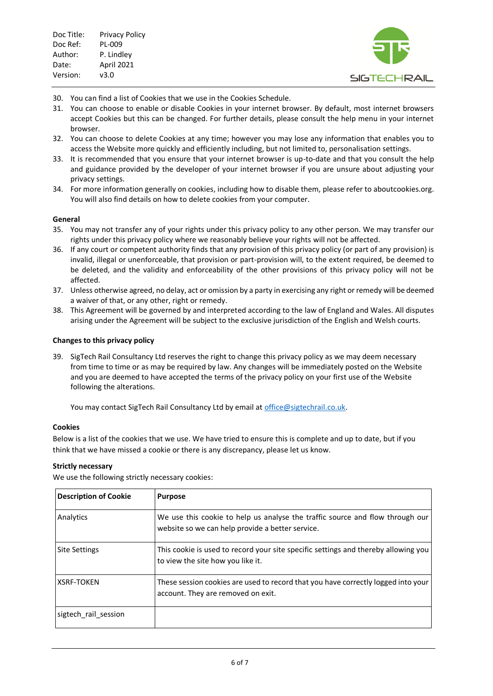

- 30. You can find a list of Cookies that we use in the Cookies Schedule.
- 31. You can choose to enable or disable Cookies in your internet browser. By default, most internet browsers accept Cookies but this can be changed. For further details, please consult the help menu in your internet browser.
- 32. You can choose to delete Cookies at any time; however you may lose any information that enables you to access the Website more quickly and efficiently including, but not limited to, personalisation settings.
- 33. It is recommended that you ensure that your internet browser is up-to-date and that you consult the help and guidance provided by the developer of your internet browser if you are unsure about adjusting your privacy settings.
- 34. For more information generally on cookies, including how to disable them, please refer to aboutcookies.org. You will also find details on how to delete cookies from your computer.

#### **General**

- 35. You may not transfer any of your rights under this privacy policy to any other person. We may transfer our rights under this privacy policy where we reasonably believe your rights will not be affected.
- 36. If any court or competent authority finds that any provision of this privacy policy (or part of any provision) is invalid, illegal or unenforceable, that provision or part-provision will, to the extent required, be deemed to be deleted, and the validity and enforceability of the other provisions of this privacy policy will not be affected.
- 37. Unless otherwise agreed, no delay, act or omission by a party in exercising any right or remedy will be deemed a waiver of that, or any other, right or remedy.
- 38. This Agreement will be governed by and interpreted according to the law of England and Wales. All disputes arising under the Agreement will be subject to the exclusive jurisdiction of the English and Welsh courts.

#### **Changes to this privacy policy**

39. SigTech Rail Consultancy Ltd reserves the right to change this privacy policy as we may deem necessary from time to time or as may be required by law. Any changes will be immediately posted on the Website and you are deemed to have accepted the terms of the privacy policy on your first use of the Website following the alterations.

You may contact SigTech Rail Consultancy Ltd by email at [office@sigtechrail.co.uk.](mailto:office@sigtechrail.co.uk)

#### **Cookies**

Below is a list of the cookies that we use. We have tried to ensure this is complete and up to date, but if you think that we have missed a cookie or there is any discrepancy, please let us know.

#### **Strictly necessary**

We use the following strictly necessary cookies:

| <b>Description of Cookie</b> | <b>Purpose</b>                                                                                                                    |
|------------------------------|-----------------------------------------------------------------------------------------------------------------------------------|
| Analytics                    | We use this cookie to help us analyse the traffic source and flow through our<br>website so we can help provide a better service. |
| <b>Site Settings</b>         | This cookie is used to record your site specific settings and thereby allowing you<br>to view the site how you like it.           |
| <b>XSRF-TOKEN</b>            | These session cookies are used to record that you have correctly logged into your<br>account. They are removed on exit.           |
| sigtech_rail_session         |                                                                                                                                   |